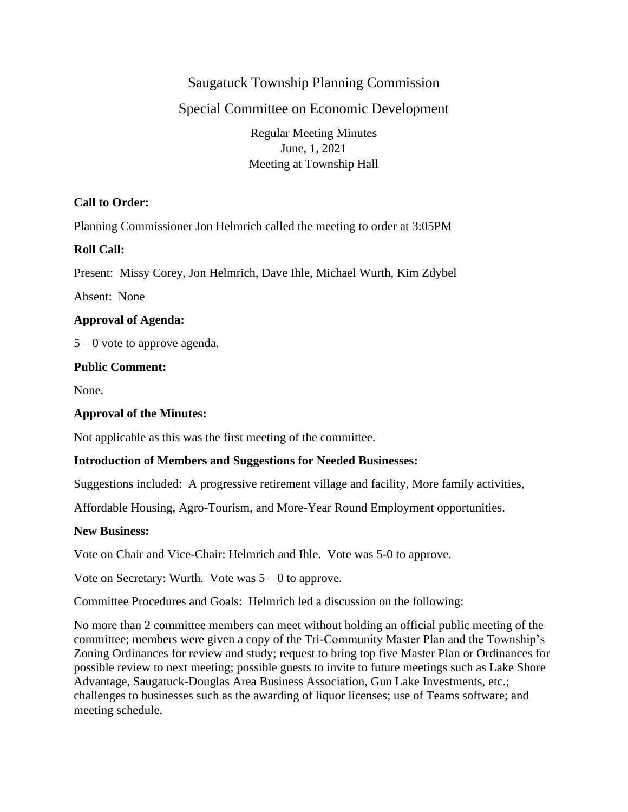# Saugatuck Township Planning Commission

# Special Committee on Economic Development

Regular Meeting Minutes June, 1, 2021 Meeting at Township Hall

### **Call to Order:**

Planning Commissioner Jon Helmrich called the meeting to order at 3:05PM

### **Roll Call:**

Present: Missy Corey, Jon Helmrich, Dave Ihle, Michael Wurth, Kim Zdybel

Absent: None

### **Approval of Agenda:**

 $5 - 0$  vote to approve agenda.

### **Public Comment:**

None.

## **Approval of the Minutes:**

Not applicable as this was the first meeting of the committee.

### **Introduction of Members and Suggestions for Needed Businesses:**

Suggestions included: A progressive retirement village and facility, More family activities,

Affordable Housing, Agro-Tourism, and More-Year Round Employment opportunities.

### **New Business:**

Vote on Chair and Vice-Chair: Helmrich and Ihle. Vote was 5-0 to approve.

Vote on Secretary: Wurth. Vote was  $5 - 0$  to approve.

Committee Procedures and Goals: Helmrich led a discussion on the following:

No more than 2 committee members can meet without holding an official public meeting of the committee; members were given a copy of the Tri-Community Master Plan and the Township's Zoning Ordinances for review and study; request to bring top five Master Plan or Ordinances for possible review to next meeting; possible guests to invite to future meetings such as Lake Shore Advantage, Saugatuck-Douglas Area Business Association, Gun Lake Investments, etc.; challenges to businesses such as the awarding of liquor licenses; use of Teams software; and meeting schedule.